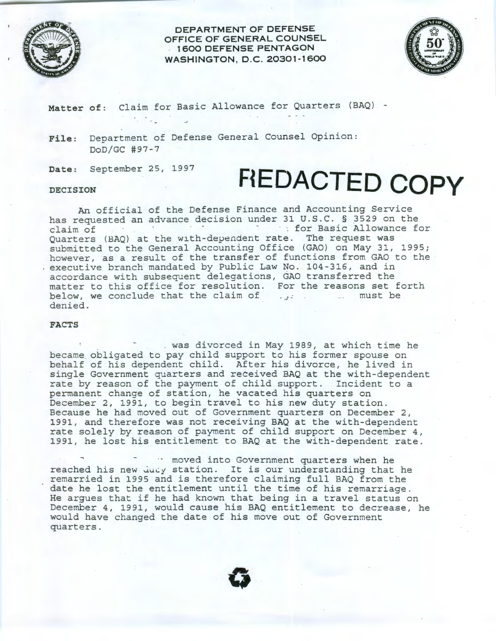

**DEPARTMENT OF DEFENSE OFFICE OF GENERAL COUNSEL**  . **1 600 DEFENSE PENTAGON WASHINGTON, D.C. 20301-1600** 



**Matter of:** Claim for Basic Allowance for Quarters (BAQ)

**File:** Department of Defense General Counsel Opinion: DoD/GC #97-7

**Date:** September 25, 1997

 $\label{eq:2.1} \mathcal{L}=\mathcal{L}^{\text{max}}_{\text{max}}\left(\mathcal{L}^{\text{max}}_{\text{max}}\right)$ 

## Date: September 25, 1997 **FIEDACTED COPY**

An official of the Defense Finance and Accounting Service has requested an advance decision under 31 U.S.C. § 3529 on the claim of  $\cdots$  for Basic Allowance for Quarters (BAQ) at the wlth-dependent rate. The request was submitted to the General Accounting Office (GAO) on May 31, 1995; however, as a result of the transfer of functions from GAO to the executive branch mandated by Public Law No. 104-316, and in accordance with subsequent delegations, GAO transferred the matter to this office for resolution. For the reasons set forth below, we conclude that the claim of *· <sup>J</sup> -* must be denied.

## **FACTS**

. . was divorced in May 1989, at which time he became obligated to pay child support to his former spouse on behalf of his dependent child. After his divorce, he lived in single Government quarters and received BAQ at the with-dependent rate by reason of the payment of child support. Incident to a permanent change of station, he vacated his quarters on December 2, 1991, to begin travel to his new duty station. Because he had moved out of Government quarters on December 2, 1991, and therefore was not receiving BAQ at the with-dependent rate solely by reason of payment of child support on December 4, 1991, he lost his entitlement to BAQ at the with-dependent rate.

·· moved into Government quarters when he reached his new ducy station. It is our understanding that he remarried in 1995 and is therefore claiming full BAQ from the date he lost the entitlement until the time of his remarriage. He argues that if he had known that being in a travel status on December 4, 1991, would cause his BAQ entitlement to decrease, he would have changed the date of his move out of Government quarters.